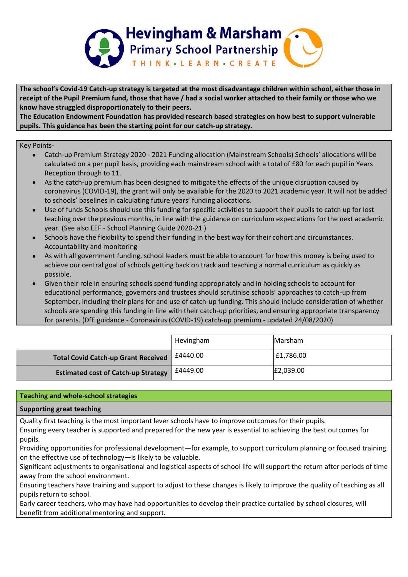

The school's Covid-19 Catch-up strategy is targeted at the most disadvantage children within school, either those in receipt of the Pupil Premium fund, those that have / had a social worker attached to their family or those who we **know have struggled disproportionately to their peers.**

**The Education Endowment Foundation has provided research based strategies on how best to support vulnerable pupils. This guidance has been the starting point for our catch-up strategy.**

## Key Points-

- Catch-up Premium Strategy 2020 2021 Funding allocation (Mainstream Schools) Schools' allocations will be calculated on a per pupil basis, providing each mainstream school with a total of £80 for each pupil in Years Reception through to 11.
- As the catch-up premium has been designed to mitigate the effects of the unique disruption caused by coronavirus (COVID-19), the grant will only be available for the 2020 to 2021 academic year. It will not be added to schools' baselines in calculating future years' funding allocations.
- Use of funds Schools should use this funding for specific activities to support their pupils to catch up for lost teaching over the previous months, in line with the guidance on curriculum expectations for the next academic year. (See also EEF - School Planning Guide 2020-21 )
- Schools have the flexibility to spend their funding in the best way for their cohort and circumstances. Accountability and monitoring
- As with all government funding, school leaders must be able to account for how this money is being used to achieve our central goal of schools getting back on track and teaching a normal curriculum as quickly as possible.
- Given their role in ensuring schools spend funding appropriately and in holding schools to account for educational performance, governors and trustees should scrutinise schools' approaches to catch-up from September, including their plans for and use of catch-up funding. This should include consideration of whether schools are spending this funding in line with their catch-up priorities, and ensuring appropriate transparency for parents. (DfE guidance - Coronavirus (COVID-19) catch-up premium - updated 24/08/2020)

|                                            | Hevingham | Marsham   |
|--------------------------------------------|-----------|-----------|
| <b>Total Covid Catch-up Grant Received</b> | £4440.00  | £1,786.00 |
| <b>Estimated cost of Catch-up Strategy</b> | £4449.00  | E2,039.00 |

# **Teaching and whole-school strategies**

# **Supporting great teaching**

Quality first teaching is the most important lever schools have to improve outcomes for their pupils.

Ensuring every teacher is supported and prepared for the new year is essential to achieving the best outcomes for pupils.

Providing opportunities for professional development—for example, to support curriculum planning or focused training on the effective use of technology—is likely to be valuable.

Significant adjustments to organisational and logistical aspects of school life will support the return after periods of time away from the school environment.

Ensuring teachers have training and support to adjust to these changes is likely to improve the quality of teaching as all pupils return to school.

Early career teachers, who may have had opportunities to develop their practice curtailed by school closures, will benefit from additional mentoring and support.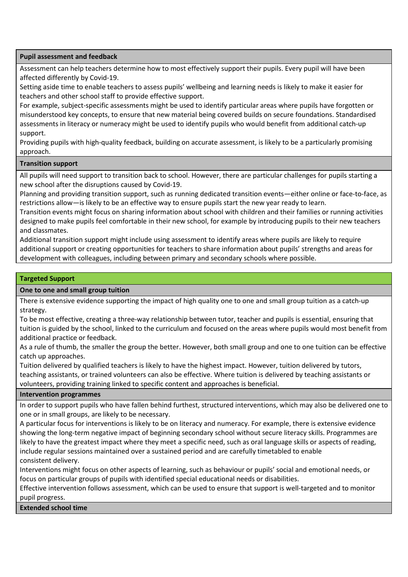### **Pupil assessment and feedback**

Assessment can help teachers determine how to most effectively support their pupils. Every pupil will have been affected differently by Covid-19.

Setting aside time to enable teachers to assess pupils' wellbeing and learning needs is likely to make it easier for teachers and other school staff to provide effective support.

For example, subject-specific assessments might be used to identify particular areas where pupils have forgotten or misunderstood key concepts, to ensure that new material being covered builds on secure foundations. Standardised assessments in literacy or numeracy might be used to identify pupils who would benefit from additional catch-up support.

Providing pupils with high-quality feedback, building on accurate assessment, is likely to be a particularly promising approach.

## **Transition support**

All pupils will need support to transition back to school. However, there are particular challenges for pupils starting a new school after the disruptions caused by Covid-19.

Planning and providing transition support, such as running dedicated transition events—either online or face-to-face, as restrictions allow—is likely to be an effective way to ensure pupils start the new year ready to learn.

Transition events might focus on sharing information about school with children and their families or running activities designed to make pupils feel comfortable in their new school, for example by introducing pupils to their new teachers and classmates.

Additional transition support might include using assessment to identify areas where pupils are likely to require additional support or creating opportunities for teachers to share information about pupils' strengths and areas for development with colleagues, including between primary and secondary schools where possible.

#### **Targeted Support**

### **One to one and small group tuition**

There is extensive evidence supporting the impact of high quality one to one and small group tuition as a catch-up strategy.

To be most effective, creating a three-way relationship between tutor, teacher and pupils is essential, ensuring that tuition is guided by the school, linked to the curriculum and focused on the areas where pupils would most benefit from additional practice or feedback.

As a rule of thumb, the smaller the group the better. However, both small group and one to one tuition can be effective catch up approaches.

Tuition delivered by qualified teachers is likely to have the highest impact. However, tuition delivered by tutors, teaching assistants, or trained volunteers can also be effective. Where tuition is delivered by teaching assistants or volunteers, providing training linked to specific content and approaches is beneficial.

#### **Intervention programmes**

In order to support pupils who have fallen behind furthest, structured interventions, which may also be delivered one to one or in small groups, are likely to be necessary.

A particular focus for interventions is likely to be on literacy and numeracy. For example, there is extensive evidence showing the long-term negative impact of beginning secondary school without secure literacy skills. Programmes are likely to have the greatest impact where they meet a specific need, such as oral language skills or aspects of reading, include regular sessions maintained over a sustained period and are carefully timetabled to enable consistent delivery.

Interventions might focus on other aspects of learning, such as behaviour or pupils' social and emotional needs, or focus on particular groups of pupils with identified special educational needs or disabilities.

Effective intervention follows assessment, which can be used to ensure that support is well-targeted and to monitor pupil progress.

**Extended school time**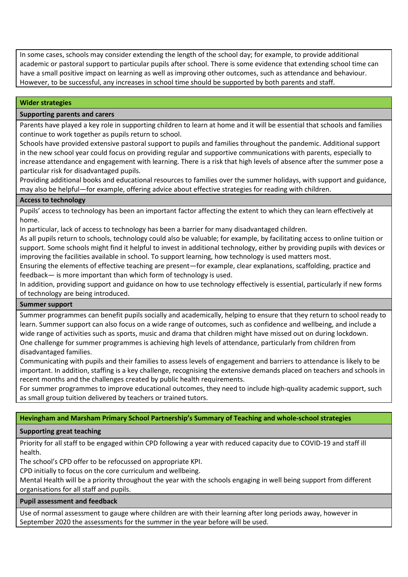In some cases, schools may consider extending the length of the school day; for example, to provide additional academic or pastoral support to particular pupils after school. There is some evidence that extending school time can have a small positive impact on learning as well as improving other outcomes, such as attendance and behaviour. However, to be successful, any increases in school time should be supported by both parents and staff.

## **Wider strategies**

#### **Supporting parents and carers**

Parents have played a key role in supporting children to learn at home and it will be essential that schools and families continue to work together as pupils return to school.

Schools have provided extensive pastoral support to pupils and families throughout the pandemic. Additional support in the new school year could focus on providing regular and supportive communications with parents, especially to increase attendance and engagement with learning. There is a risk that high levels of absence after the summer pose a particular risk for disadvantaged pupils.

Providing additional books and educational resources to families over the summer holidays, with support and guidance, may also be helpful—for example, offering advice about effective strategies for reading with children.

#### **Access to technology**

Pupils' access to technology has been an important factor affecting the extent to which they can learn effectively at home.

In particular, lack of access to technology has been a barrier for many disadvantaged children.

As all pupils return to schools, technology could also be valuable; for example, by facilitating access to online tuition or support. Some schools might find it helpful to invest in additional technology, either by providing pupils with devices or improving the facilities available in school. To support learning, how technology is used matters most.

Ensuring the elements of effective teaching are present—for example, clear explanations, scaffolding, practice and feedback— is more important than which form of technology is used.

In addition, providing support and guidance on how to use technology effectively is essential, particularly if new forms of technology are being introduced.

#### **Summer support**

Summer programmes can benefit pupils socially and academically, helping to ensure that they return to school ready to learn. Summer support can also focus on a wide range of outcomes, such as confidence and wellbeing, and include a wide range of activities such as sports, music and drama that children might have missed out on during lockdown. One challenge for summer programmes is achieving high levels of attendance, particularly from children from disadvantaged families.

Communicating with pupils and their families to assess levels of engagement and barriers to attendance is likely to be important. In addition, staffing is a key challenge, recognising the extensive demands placed on teachers and schools in recent months and the challenges created by public health requirements.

For summer programmes to improve educational outcomes, they need to include high-quality academic support, such as small group tuition delivered by teachers or trained tutors.

**Hevingham and Marsham Primary School Partnership's Summary of Teaching and whole-school strategies**

## **Supporting great teaching**

 Priority for all staff to be engaged within CPD following a year with reduced capacity due to COVID-19 and staff ill health.

The school's CPD offer to be refocussed on appropriate KPI.

CPD initially to focus on the core curriculum and wellbeing.

 Mental Health will be a priority throughout the year with the schools engaging in well being support from different organisations for all staff and pupils.

## **Pupil assessment and feedback**

 Use of normal assessment to gauge where children are with their learning after long periods away, however in September 2020 the assessments for the summer in the year before will be used.